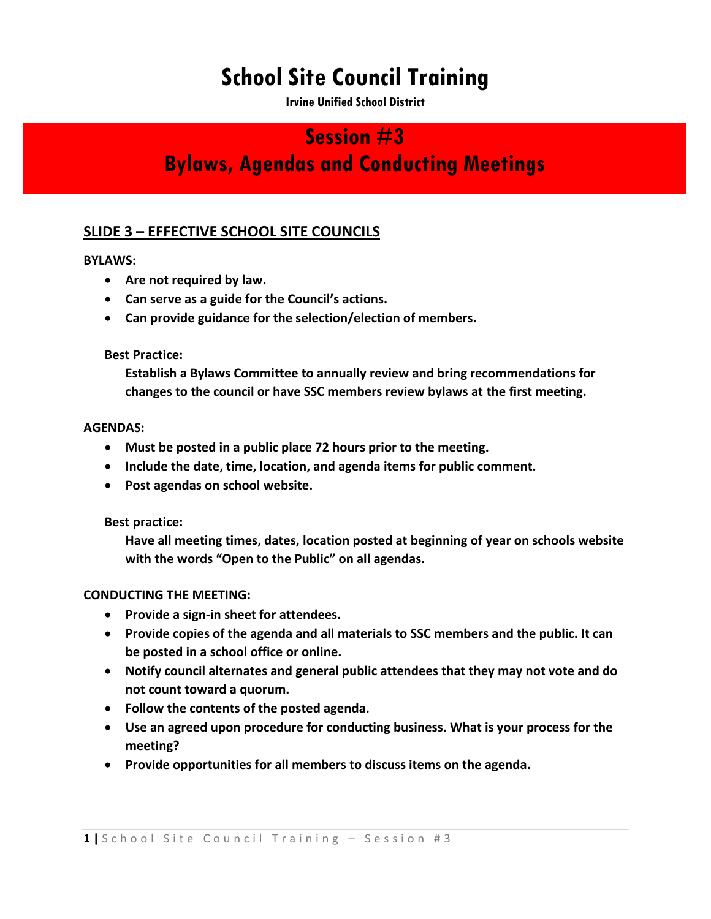# **School Site Council Training**

**Irvine Unified School District** 

### **Session #3**

## **Bylaws, Agendas and Conducting Meetings**

### **SLIDE 3 – EFFECTIVE SCHOOL SITE COUNCILS**

#### **BYLAWS:**

- **Are not required by law.**
- **Can serve as a guide for the Council's actions.**
- **Can provide guidance for the selection/election of members.**

#### **Best Practice:**

**Establish a Bylaws Committee to annually review and bring recommendations for changes to the council or have SSC members review bylaws at the first meeting.**

#### **AGENDAS:**

- **Must be posted in a public place 72 hours prior to the meeting.**
- **Include the date, time, location, and agenda items for public comment.**
- **Post agendas on school website.**

**Best practice:** 

**Have all meeting times, dates, location posted at beginning of year on schools website with the words "Open to the Public" on all agendas.**

#### **CONDUCTING THE MEETING:**

- **Provide a sign-in sheet for attendees.**
- **Provide copies of the agenda and all materials to SSC members and the public. It can be posted in a school office or online.**
- **Notify council alternates and general public attendees that they may not vote and do not count toward a quorum.**
- **Follow the contents of the posted agenda.**
- **Use an agreed upon procedure for conducting business. What is your process for the meeting?**
- **Provide opportunities for all members to discuss items on the agenda.**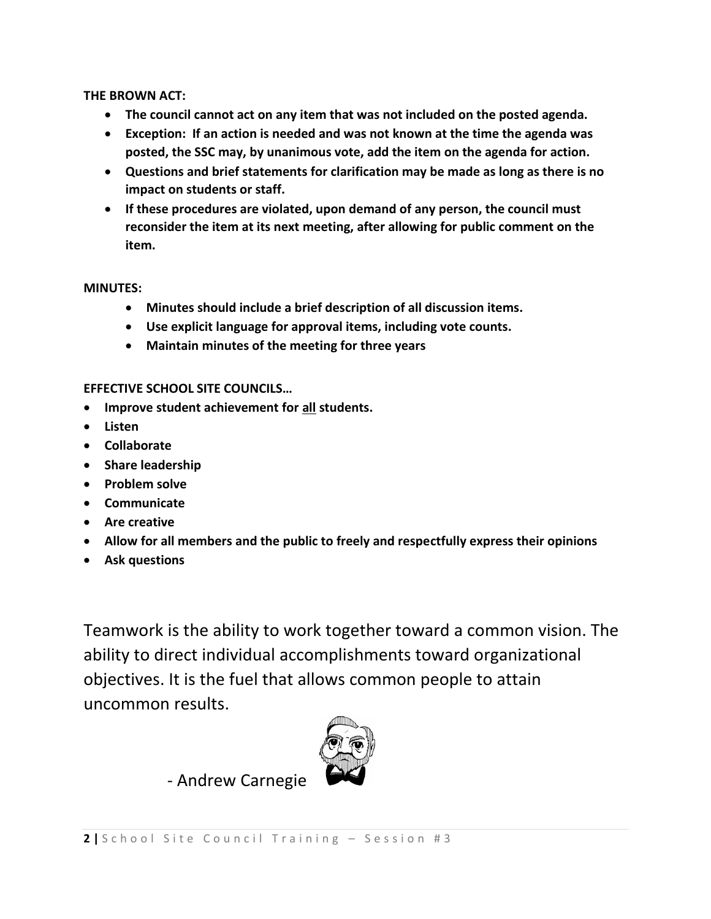**THE BROWN ACT:**

- **The council cannot act on any item that was not included on the posted agenda.**
- **Exception: If an action is needed and was not known at the time the agenda was posted, the SSC may, by unanimous vote, add the item on the agenda for action.**
- **Questions and brief statements for clarification may be made as long as there is no impact on students or staff.**
- **If these procedures are violated, upon demand of any person, the council must reconsider the item at its next meeting, after allowing for public comment on the item.**

**MINUTES:**

- **Minutes should include a brief description of all discussion items.**
- **Use explicit language for approval items, including vote counts.**
- **Maintain minutes of the meeting for three years**

#### **EFFECTIVE SCHOOL SITE COUNCILS…**

- **Improve student achievement for all students.**
- **Listen**
- **Collaborate**
- **Share leadership**
- **•** Problem solve
- **Communicate**
- **Are creative**
- **Allow for all members and the public to freely and respectfully express their opinions**
- **Ask questions**

Teamwork is the ability to work together toward a common vision. The ability to direct individual accomplishments toward organizational objectives. It is the fuel that allows common people to attain uncommon results.

- Andrew Carnegie